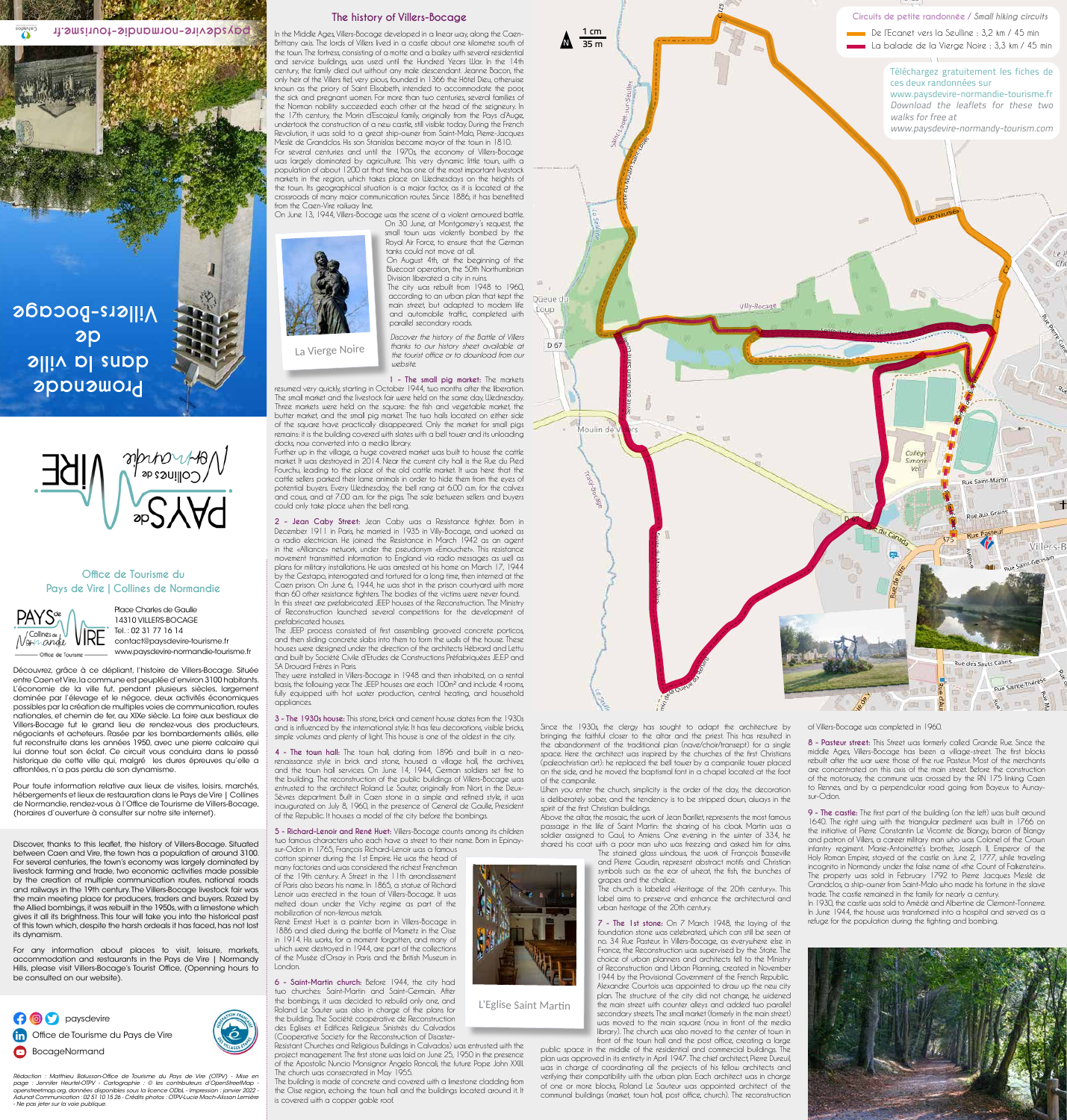**Promenade dans la ville de Villers-Bocage**





COUVERTURE EN

Place Charles de Gaulle 14310 VILLERS-BOCAGE Tel. : 02 31 77 16 14 contact@paysdevire-tourisme.fr www.paysdevire-normandie-tourisme.fr

Découvrez, grâce à ce dépliant, l'histoire de Villers-Bocage. Située entre Caen et Vire, la commune est peuplée d'environ 3100 habitants. L'économie de la ville fut, pendant plusieurs siècles, largement dominée par l'élevage et le négoce, deux activités économiques possibles par la création de multiples voies de communication, routes nationales, et chemin de fer, au XIXe siècle. La foire aux bestiaux de Villers-Bocage fut le grand lieu de rendez-vous des producteurs, négociants et acheteurs. Rasée par les bombardements alliés, elle fut reconstruite dans les années 1950, avec une pierre calcaire qui lui donne tout son éclat. Ce circuit vous conduira dans le passé historique de cette ville qui, malgré les dures épreuves qu'elle a affrontées, n'a pas perdu de son dynamisme.

Pour toute information relative aux lieux de visites, loisirs, marchés, hébergements et lieux de restauration dans le Pays de Vire | Collines de Normandie, rendez-vous à l'Office de Tourisme de Villers-Bocage, (horaires d'ouverture à consulter sur notre site internet).

Discover, thanks to this leaflet, the history of Villers-Bocage. Situated between Caen and Vire, the town has a population of around 3100. For several centuries, the town's economy was largely dominated by livestock farming and trade, two economic activities made possible by the creation of multiple communication routes, national roads and railways in the 19th century. The Villers-Bocage livestock fair was the main meeting place for producers, traders and buyers. Razed by the Allied bombings, it was rebuilt in the 1950s, with a limestone which gives it all its brightness. This tour will take you into the historical past of this town which, despite the harsh ordeals it has faced, has not lost its dynamism.



# **Office de Tourisme du Pays de Vire | Collines de Normandie**



Rédaction : Matthieu Balusson-Office de Tourisme du Pays de Vire (OTPV) - Mise en page : Jennifer Heurtel-OTPV - Cartographie : © les contributeurs d'OpenStreetMap openstreetmap.org, données disponibles sous la licence ODbL - Impression : janvier 2022 - Adunat Communication : 02 51 10 15 26 - Crédits photos : OTPV-Lucie Mach-Alisson Lemière - Ne pas jeter sur la voie publique.

For any information about places to visit, leisure, markets, accommodation and restaurants in the Pays de Vire | Normandy Hills, please visit Villers-Bocage's Tourist Office, (Openning hours to be consulted on our website).

Since the 1930s, the clergy has sought to adapt the architecture by bringing the faithful closer to the altar and the priest. This has resulted in the abandonment of the traditional plan (nave/choir/transept) for a single space. Here the architect was inspired by the churches of the first Christians (paleochristian art): he replaced the bell tower by a campanile tower placed on the side, and he moved the baptismal font in a chapel located at the foot of the campanile.

When you enter the church, simplicity is the order of the day, the decoration is deliberately sober, and the tendency is to be stripped down, always in the spirit of the first Christian buildings.

Above the altar, the mosaic, the work of Jean Barillet, represents the most famous passage in the life of Saint Martin: the sharing of his cloak. Martin was a soldier assigned to Gaul, to Amiens. One evening in the winter of 334, he shared his coat with a poor man who was freezing and asked him for alms.

> The stained glass windows, the work of François Basseville and Pierre Gaudin, represent abstract motifs and Christian symbols such as the ear of wheat, the fish, the bunches of grapes and the chalice.

> The church is labeled «Heritage of the 20th century». This label aims to preserve and enhance the architectural and urban heritage of the 20th century.

**7 - The 1st stone:** On 7 March 1948, the laying of the foundation stone was celebrated, which can still be seen at no. 34 Rue Pasteur. In Villers-Bocage, as everywhere else in France, the Reconstruction was supervised by the State. The choice of urban planners and architects fell to the Ministry of Reconstruction and Urban Planning, created in November 1944 by the Provisional Government of the French Republic. Alexandre Courtois was appointed to draw up the new city plan. The structure of the city did not change, he widened the main street with counter alleys and added two parallel secondary streets. The small market (formerly in the main street) was moved to the main square (now in front of the media library). The church was also moved to the center of town in front of the town hall and the post office, creating a large

public space in the middle of the residential and commercial buildings. The plan was approved in its entirety in April 1947. The chief architect, Pierre Dureuil, was in charge of coordinating all the projects of his fellow architects and verifying their compatibility with the urban plan. Each architect was in charge of one or more blocks, Roland Le Sauteur was appointed architect of the communal buildings (market, town hall, post office, church). The reconstruction



of Villers-Bocage was completed in 1960.

**8 - Pasteur street:** This Street was formerly called Grande Rue. Since the middle Ages, Villers-Bocage has been a village-street. The first blocks rebuilt after the war were those of the rue Pasteur. Most of the merchants are concentrated on this axis of the main street. Before the construction of the motorway, the commune was crossed by the RN 175 linking Caen to Rennes, and by a perpendicular road going from Bayeux to Aunaysur-Odon.

**9 - The castle:** The first part of the building (on the left) was built around 1640. The right wing with the triangular pediment was built in 1766 on the initiative of Pierre Constantin Le Vicomte de Blangy, baron of Blangy and patron of Villers, a career military man who was Colonel of the Crown infantry regiment. Marie-Antoinette's brother, Joseph II, Emperor of the Holy Roman Empire, stayed at the castle on June 2, 1777, while traveling incognito in Normandy under the false name of «the Count of Falkenstein». The property was sold in February 1792 to Pierre Jacques Meslé de Grandclos, a ship-owner from Saint-Malo who made his fortune in the slave trade. The castle remained in the family for nearly a century. In 1930, the castle was sold to Amédé and Albertine de Clermont-Tonnerre. In June 1944, the house was transformed into a hospital and served as a refuge for the population during the fighting and bombing.



L'Eglise Saint Martin



**The history of Villers-Bocage**

In the Middle Ages, Villers-Bocage developed in a linear way, along the Caen-Brittany axis. The lords of Villers lived in a castle about one kilometre south of the town. The fortress, consisting of a motte and a bailey with several residential and service buildings, was used until the Hundred Years War. In the 14th century, the family died out without any male descendant. Jeanne Bacon, the only heir of the Villers fief, very pious, founded in 1366 the Hôtel Dieu, otherwise known as the priory of Saint Elisabeth, intended to accommodate the poor, the sick and pregnant women. For more than two centuries, several families of the Norman nobility succeeded each other at the head of the seigneury. In the 17th century, the Morin d'Escajeul family, originally from the Pays d'Auge, undertook the construction of a new castle, still visible today. During the French Revolution, it was sold to a great ship-owner from Saint-Malo, Pierre-Jacques Meslé de Grandclos. His son Stanislas became mayor of the town in 1810. For several centuries and until the 1970s, the economy of Villers-Bocage

was largely dominated by agriculture. This very dynamic little town, with a population of about 1200 at that time, has one of the most important livestock markets in the region, which takes place on Wednesdays on the heights of the town. Its geographical situation is a major factor, as it is located at the crossroads of many major communication routes. Since 1886, it has benefited from the Caen-Vire railway line.

On June 13, 1944, Villers-Bocage was the scene of a violent armoured battle.

On 30 June, at Montgomery's request, the small town was violently bombed by the Royal Air Force, to ensure that the German tanks could not move at all. On August 4th, at the beginning of the Bluecoat operation, the 50th Northumbrian Division liberated a city in ruins. The city was rebuilt from 1948 to 1960, according to an urban plan that kept the main street, but adapted to modern life and automobile traffic, completed with parallel secondary roads.

*Discover the history of the Battle of Villers thanks to our history sheet available at the tourist office or to download from our website.*

**1 - The small pig market:** The markets

resumed very quickly, starting in October 1944, two months after the liberation. The small market and the livestock fair were held on the same day, Wednesday. Three markets were held on the square: the fish and vegetable market, the butter market, and the small pig market. The two halls located on either side of the square have practically disappeared. Only the market for small pigs remains: it is the building covered with slates with a bell tower and its unloading docks, now converted into a media library.

Further up in the village, a huge covered market was built to house the cattle market. It was destroyed in 2014. Near the current city hall is the Rue du Pied Fourchu, leading to the place of the old cattle market. It was here that the cattle sellers parked their lame animals in order to hide them from the eyes of potential buyers. Every Wednesday, the bell rang at 6:00 a.m. for the calves and cows, and at 7:00 a.m. for the pigs. The sale between sellers and buyers could only take place when the bell rang.

**2 - Jean Caby Street:** Jean Caby was a Resistance fighter. Born in December 1911 in Paris, he married in 1935 in Villy-Bocage, and worked as a radio electrician. He joined the Resistance in March 1942 as an agent in the «Alliance» network, under the pseudonym «Émouchet». This resistance movement transmitted information to England via radio messages as well as plans for military installations. He was arrested at his home on March 17, 1944 by the Gestapo, interrogated and tortured for a long time, then interned at the Caen prison. On June 6, 1944, he was shot in the prison courtyard with more than 60 other resistance fighters. The bodies of the victims were never found. In this street are prefabricated JEEP houses of the Reconstruction. The Ministry of Reconstruction launched several competitions for the development of prefabricated houses.

The JEEP process consisted of first assembling grooved concrete porticos, and then sliding concrete slabs into them to form the walls of the house. These houses were designed under the direction of the architects Hébrard and Lettu and built by Société Civile d'Etudes de Constructions Préfabriquées JE.E.P and SA Drouard Frères in Paris.

They were installed in Villers-Bocage in 1948 and then inhabited, on a rental basis, the following year. The JEEP houses are each 100m² and include 4 rooms, fully equipped with hot water production, central heating, and household appliances.

**3 - The 1930s house:** This stone, brick and cement house dates from the 1930s and is influenced by the international style. It has few decorations, visible bricks, simple volumes and plenty of light. This house is one of the oldest in the city.

**4 - The town hall:** The town hall, dating from 1896 and built in a neorenaissance style in brick and stone, housed a village hall, the archives, and the town hall services. On June 14, 1944, German soldiers set fire to the building. The reconstruction of the public buildings of Villers-Bocage was entrusted to the architect Roland Le Sauter, originally from Niort, in the Deux-Sèvres department. Built in Caen stone in a simple and refined style, it was inaugurated on July 8, 1960, in the presence of General de Gaulle, President of the Republic. It houses a model of the city before the bombings.

**5 - Richard-Lenoir and René Huet:** Villers-Bocage counts among its children two famous characters who each have a street to their name. Born in Epinaysur-Odon in 1765, François Richard-Lenoir was a famous cotton spinner during the 1st Empire. He was the head of many factories and was considered the richest Frenchman of the 19th century. A Street in the 11th arrondissement of Paris also bears his name. In 1865, a statue of Richard Lenoir was erected in the town of Villers-Bocage. It was melted down under the Vichy regime as part of the mobilization of non-ferrous metals.

René Ernest Huet is a painter born in Villers-Bocage in 1886 and died during the battle of Mametz in the Oise in 1914. His works, for a moment forgotten, and many of which were destroyed in 1944, are part of the collections of the Musée d'Orsay in Paris and the British Museum in London.

**6 - Saint-Martin church:** Before 1944, the city had two churches: Saint-Martin and Saint-Germain. After the bombings, it was decided to rebuild only one, and Roland Le Sauter was also in charge of the plans for the building. The Société coopérative de Reconstruction des Eglises et Edifices Religieux Sinistrés du Calvados (Cooperative Society for the Reconstruction of Disaster-Resistant Churches and Religious Buildings in Calvados) was entrusted with the

project management. The first stone was laid on June 25, 1950 in the presence of the Apostolic Nuncio Monsignor Angelo Roncali, the future Pope John XXIII. The church was consecrated in May 1955.

The building is made of concrete and covered with a limestone cladding from the Oise region, echoing the town hall and the buildings located around it. It is covered with a copper gable roof.